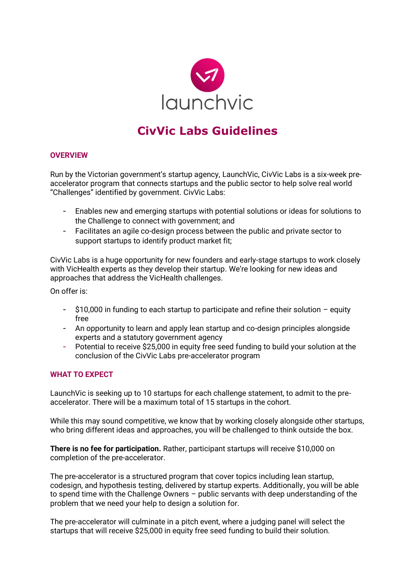

# **CivVic Labs Guidelines**

#### **OVERVIEW**

Run by the Victorian government's startup agency, LaunchVic, CivVic Labs is a six-week preaccelerator program that connects startups and the public sector to help solve real world "Challenges" identified by government. CivVic Labs:

- Enables new and emerging startups with potential solutions or ideas for solutions to the Challenge to connect with government; and
- Facilitates an agile co-design process between the public and private sector to support startups to identify product market fit;

CivVic Labs is a huge opportunity for new founders and early-stage startups to work closely with VicHealth experts as they develop their startup. We're looking for new ideas and approaches that address the VicHealth challenges.

On offer is:

- \$10,000 in funding to each startup to participate and refine their solution equity free
- An opportunity to learn and apply lean startup and co-design principles alongside experts and a statutory government agency
- Potential to receive \$25,000 in equity free seed funding to build your solution at the conclusion of the CivVic Labs pre-accelerator program

#### **WHAT TO EXPECT**

LaunchVic is seeking up to 10 startups for each challenge statement, to admit to the preaccelerator. There will be a maximum total of 15 startups in the cohort.

While this may sound competitive, we know that by working closely alongside other startups, who bring different ideas and approaches, you will be challenged to think outside the box.

**There is no fee for participation.** Rather, participant startups will receive \$10,000 on completion of the pre-accelerator.

The pre-accelerator is a structured program that cover topics including lean startup, codesign, and hypothesis testing, delivered by startup experts. Additionally, you will be able to spend time with the Challenge Owners – public servants with deep understanding of the problem that we need your help to design a solution for.

The pre-accelerator will culminate in a pitch event, where a judging panel will select the startups that will receive \$25,000 in equity free seed funding to build their solution.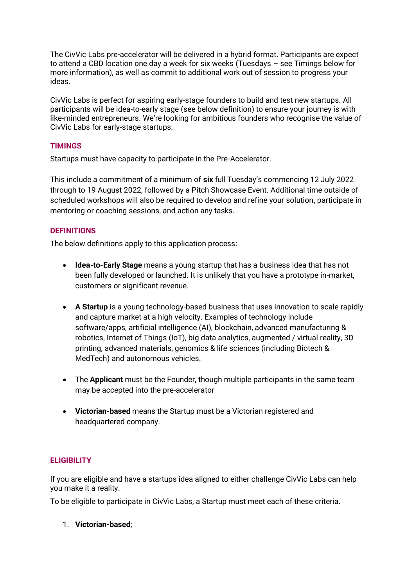The CivVic Labs pre-accelerator will be delivered in a hybrid format. Participants are expect to attend a CBD location one day a week for six weeks (Tuesdays – see Timings below for more information), as well as commit to additional work out of session to progress your ideas.

CivVic Labs is perfect for aspiring early-stage founders to build and test new startups. All participants will be idea-to-early stage (see below definition) to ensure your journey is with like-minded entrepreneurs. We're looking for ambitious founders who recognise the value of CivVic Labs for early-stage startups.

# **TIMINGS**

Startups must have capacity to participate in the Pre-Accelerator.

This include a commitment of a minimum of **six** full Tuesday's commencing 12 July 2022 through to 19 August 2022, followed by a Pitch Showcase Event. Additional time outside of scheduled workshops will also be required to develop and refine your solution, participate in mentoring or coaching sessions, and action any tasks.

# **DEFINITIONS**

The below definitions apply to this application process:

- **Idea-to-Early Stage** means a young startup that has a business idea that has not been fully developed or launched. It is unlikely that you have a prototype in-market, customers or significant revenue.
- **A Startup** is a young technology-based business that uses innovation to scale rapidly and capture market at a high velocity. Examples of technology include software/apps, artificial intelligence (AI), blockchain, advanced manufacturing & robotics, Internet of Things (IoT), big data analytics, augmented / virtual reality, 3D printing, advanced materials, genomics & life sciences (including Biotech & MedTech) and autonomous vehicles.
- The **Applicant** must be the Founder, though multiple participants in the same team may be accepted into the pre-accelerator
- **Victorian-based** means the Startup must be a Victorian registered and headquartered company.

#### **ELIGIBILITY**

If you are eligible and have a startups idea aligned to either challenge CivVic Labs can help you make it a reality.

To be eligible to participate in CivVic Labs, a Startup must meet each of these criteria.

#### 1. **Victorian-based**;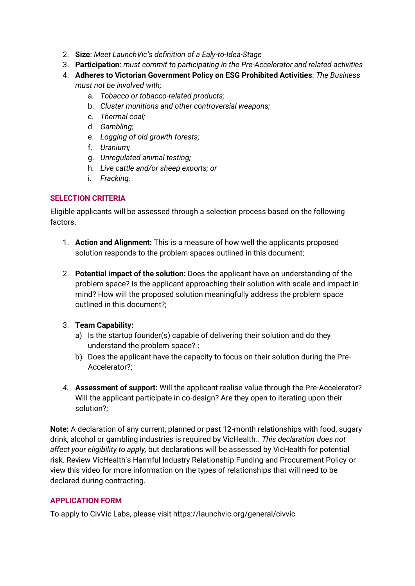- 2. **Size**: *Meet LaunchVic's definition of a Ealy-to-Idea-Stage*
- 3. **Participation**: *must commit to participating in the Pre-Accelerator and related activities*
- 4. **Adheres to Victorian Government Policy on ESG Prohibited Activities**: *The Business must not be involved with;* 
	- a. *Tobacco or tobacco-related products;*
	- b. *Cluster munitions and other controversial weapons;*
	- c. *Thermal coal;*
	- d. *Gambling;*
	- e. *Logging of old growth forests;*
	- f. *Uranium;*
	- g. *Unregulated animal testing;*
	- h. *Live cattle and/or sheep exports; or*
	- i. *Fracking.*

# **SELECTION CRITERIA**

Eligible applicants will be assessed through a selection process based on the following factors.

- 1. **Action and Alignment:** This is a measure of how well the applicants proposed solution responds to the problem spaces outlined in this document;
- 2. **Potential impact of the solution:** Does the applicant have an understanding of the problem space? Is the applicant approaching their solution with scale and impact in mind? How will the proposed solution meaningfully address the problem space outlined in this document?;
- 3. **Team Capability:**
	- a) Is the startup founder(s) capable of delivering their solution and do they understand the problem space? ;
	- b) Does the applicant have the capacity to focus on their solution during the Pre-Accelerator?;
- *4.* **Assessment of support:** Will the applicant realise value through the Pre-Accelerator? Will the applicant participate in co-design? Are they open to iterating upon their solution?;

**Note:** A declaration of any current, planned or past 12-month relationships with food, sugary drink, alcohol or gambling industries is required by VicHealth.. *This declaration does not affect your eligibility to apply,* but declarations will be assessed by VicHealth for potential risk. Review [VicHealth's Harmful Industry Relationship Funding and Procurement Policy](https://www.vichealth.vic.gov.au/media-and-resources/vichealth-harmful-industry-relationship-funding-and-procurement-policy) or view this [video](https://www.youtube.com/watch?v=0QdUnqNoaIY) for more information on the types of relationships that will need to be declared during contracting.

# **APPLICATION FORM**

To apply to CivVic Labs, please visit https://launchvic.org/general/civvic